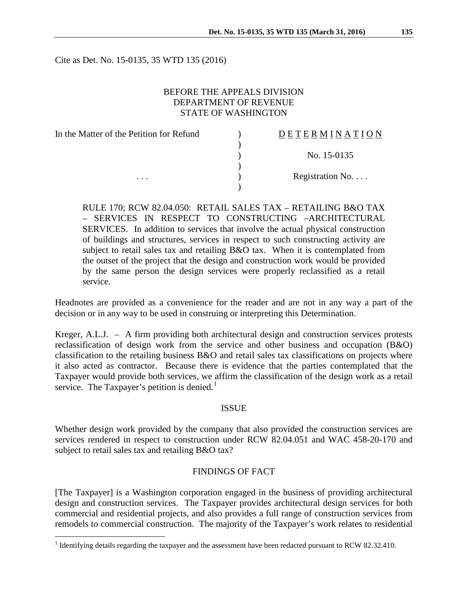Cite as Det. No. 15-0135, 35 WTD 135 (2016)

### BEFORE THE APPEALS DIVISION DEPARTMENT OF REVENUE STATE OF WASHINGTON

| In the Matter of the Petition for Refund | DETERMINATI      |
|------------------------------------------|------------------|
|                                          |                  |
|                                          | No. 15-0135      |
|                                          |                  |
| .                                        | Registration No. |
|                                          |                  |

RULE 170; RCW 82.04.050: RETAIL SALES TAX – RETAILING B&O TAX – SERVICES IN RESPECT TO CONSTRUCTING –ARCHITECTURAL SERVICES. In addition to services that involve the actual physical construction of buildings and structures, services in respect to such constructing activity are subject to retail sales tax and retailing B&O tax. When it is contemplated from the outset of the project that the design and construction work would be provided by the same person the design services were properly reclassified as a retail service.

Headnotes are provided as a convenience for the reader and are not in any way a part of the decision or in any way to be used in construing or interpreting this Determination.

Kreger, A.L.J. – A firm providing both architectural design and construction services protests reclassification of design work from the service and other business and occupation (B&O) classification to the retailing business B&O and retail sales tax classifications on projects where it also acted as contractor. Because there is evidence that the parties contemplated that the Taxpayer would provide both services, we affirm the classification of the design work as a retail service. The Taxpayer's petition is denied.<sup>[1](#page-0-0)</sup>

#### ISSUE

Whether design work provided by the company that also provided the construction services are services rendered in respect to construction under RCW 82.04.051 and WAC 458-20-170 and subject to retail sales tax and retailing B&O tax?

### FINDINGS OF FACT

[The Taxpayer] is a Washington corporation engaged in the business of providing architectural design and construction services. The Taxpayer provides architectural design services for both commercial and residential projects, and also provides a full range of construction services from remodels to commercial construction. The majority of the Taxpayer's work relates to residential

 $O N$ 

<span id="page-0-0"></span><sup>&</sup>lt;sup>1</sup> Identifying details regarding the taxpayer and the assessment have been redacted pursuant to RCW 82.32.410.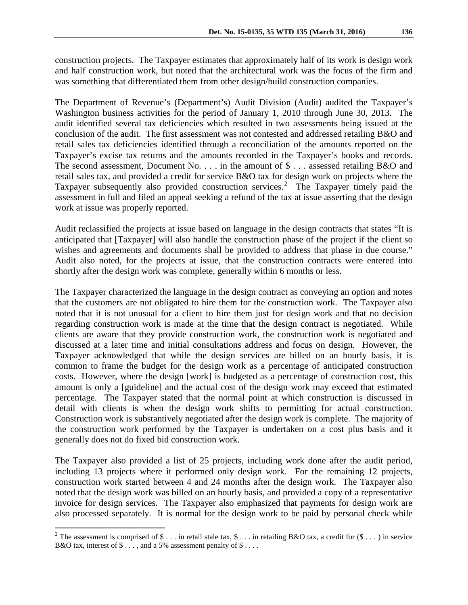construction projects. The Taxpayer estimates that approximately half of its work is design work and half construction work, but noted that the architectural work was the focus of the firm and was something that differentiated them from other design/build construction companies.

The Department of Revenue's (Department's) Audit Division (Audit) audited the Taxpayer's Washington business activities for the period of January 1, 2010 through June 30, 2013. The audit identified several tax deficiencies which resulted in two assessments being issued at the conclusion of the audit. The first assessment was not contested and addressed retailing B&O and retail sales tax deficiencies identified through a reconciliation of the amounts reported on the Taxpayer's excise tax returns and the amounts recorded in the Taxpayer's books and records. The second assessment, Document No. . . . in the amount of  $\frac{1}{2}$  . . . assessed retailing B&O and retail sales tax, and provided a credit for service B&O tax for design work on projects where the Taxpayer subsequently also provided construction services.<sup>[2](#page-1-0)</sup> The Taxpayer timely paid the assessment in full and filed an appeal seeking a refund of the tax at issue asserting that the design work at issue was properly reported.

Audit reclassified the projects at issue based on language in the design contracts that states "It is anticipated that [Taxpayer] will also handle the construction phase of the project if the client so wishes and agreements and documents shall be provided to address that phase in due course." Audit also noted, for the projects at issue, that the construction contracts were entered into shortly after the design work was complete, generally within 6 months or less.

The Taxpayer characterized the language in the design contract as conveying an option and notes that the customers are not obligated to hire them for the construction work. The Taxpayer also noted that it is not unusual for a client to hire them just for design work and that no decision regarding construction work is made at the time that the design contract is negotiated. While clients are aware that they provide construction work, the construction work is negotiated and discussed at a later time and initial consultations address and focus on design. However, the Taxpayer acknowledged that while the design services are billed on an hourly basis, it is common to frame the budget for the design work as a percentage of anticipated construction costs. However, where the design [work] is budgeted as a percentage of construction cost, this amount is only a [guideline] and the actual cost of the design work may exceed that estimated percentage. The Taxpayer stated that the normal point at which construction is discussed in detail with clients is when the design work shifts to permitting for actual construction. Construction work is substantively negotiated after the design work is complete. The majority of the construction work performed by the Taxpayer is undertaken on a cost plus basis and it generally does not do fixed bid construction work.

The Taxpayer also provided a list of 25 projects, including work done after the audit period, including 13 projects where it performed only design work. For the remaining 12 projects, construction work started between 4 and 24 months after the design work. The Taxpayer also noted that the design work was billed on an hourly basis, and provided a copy of a representative invoice for design services. The Taxpayer also emphasized that payments for design work are also processed separately. It is normal for the design work to be paid by personal check while

<span id="page-1-0"></span><sup>&</sup>lt;sup>2</sup> The assessment is comprised of \$ . . . in retail stale tax, \$ . . . in retailing B&O tax, a credit for  $(\$ \dots)$  in service B&O tax, interest of \$ . . . , and a 5% assessment penalty of \$ . . . .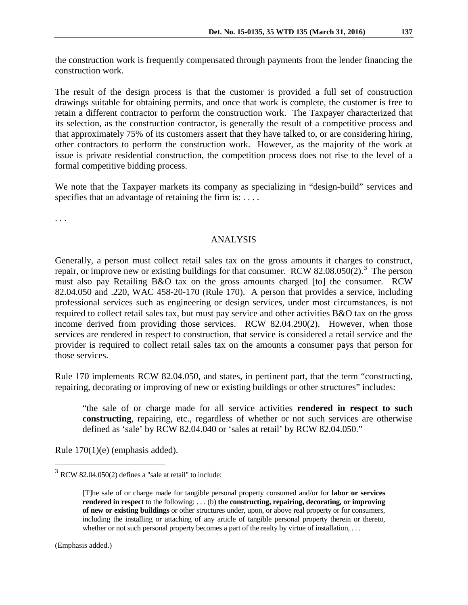the construction work is frequently compensated through payments from the lender financing the construction work.

The result of the design process is that the customer is provided a full set of construction drawings suitable for obtaining permits, and once that work is complete, the customer is free to retain a different contractor to perform the construction work. The Taxpayer characterized that its selection, as the construction contractor, is generally the result of a competitive process and that approximately 75% of its customers assert that they have talked to, or are considering hiring, other contractors to perform the construction work. However, as the majority of the work at issue is private residential construction, the competition process does not rise to the level of a formal competitive bidding process.

We note that the Taxpayer markets its company as specializing in "design-build" services and specifies that an advantage of retaining the firm is: ....

. . .

# ANALYSIS

Generally, a person must collect retail sales tax on the gross amounts it charges to construct, repair, or improve new or existing buildings for that consumer. RCW  $82.08.050(2)$ .<sup>[3](#page-2-0)</sup> The person must also pay Retailing B&O tax on the gross amounts charged [to] the consumer. RCW 82.04.050 and .220, WAC 458-20-170 (Rule 170). A person that provides a service, including professional services such as engineering or design services, under most circumstances, is not required to collect retail sales tax, but must pay service and other activities B&O tax on the gross income derived from providing those services. RCW 82.04.290(2). However, when those services are rendered in respect to construction, that service is considered a retail service and the provider is required to collect retail sales tax on the amounts a consumer pays that person for those services.

Rule 170 implements RCW 82.04.050, and states, in pertinent part, that the term "constructing, repairing, decorating or improving of new or existing buildings or other structures" includes:

"the sale of or charge made for all service activities **rendered in respect to such constructing**, repairing, etc., regardless of whether or not such services are otherwise defined as 'sale' by RCW 82.04.040 or 'sales at retail' by RCW 82.04.050."

Rule 170(1)(e) (emphasis added).

<span id="page-2-0"></span> $3$  RCW 82.04.050(2) defines a "sale at retail" to include:

<sup>[</sup>T]he sale of or charge made for tangible personal property consumed and/or for **labor or services rendered in respect** to the following: . . . (b) **the constructing, repairing, decorating, or improving of new or existing buildings** or other structures under, upon, or above real property or for consumers, including the installing or attaching of any article of tangible personal property therein or thereto, whether or not such personal property becomes a part of the realty by virtue of installation, ...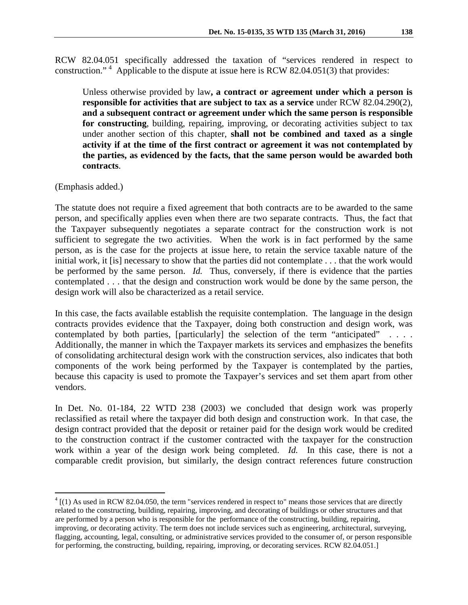RCW 82.04.051 specifically addressed the taxation of "services rendered in respect to construction."<sup>[4](#page-3-0)</sup> Applicable to the dispute at issue here is RCW 82.04.051(3) that provides:

Unless otherwise provided by law**, a contract or agreement under which a person is responsible for activities that are subject to tax as a service** under RCW 82.04.290(2), **and a subsequent contract or agreement under which the same person is responsible for constructing**, building, repairing, improving, or decorating activities subject to tax under another section of this chapter, **shall not be combined and taxed as a single activity if at the time of the first contract or agreement it was not contemplated by the parties, as evidenced by the facts, that the same person would be awarded both contracts**.

(Emphasis added.)

The statute does not require a fixed agreement that both contracts are to be awarded to the same person, and specifically applies even when there are two separate contracts. Thus, the fact that the Taxpayer subsequently negotiates a separate contract for the construction work is not sufficient to segregate the two activities. When the work is in fact performed by the same person, as is the case for the projects at issue here, to retain the service taxable nature of the initial work, it [is] necessary to show that the parties did not contemplate . . . that the work would be performed by the same person. *Id.* Thus, conversely, if there is evidence that the parties contemplated . . . that the design and construction work would be done by the same person, the design work will also be characterized as a retail service.

In this case, the facts available establish the requisite contemplation. The language in the design contracts provides evidence that the Taxpayer, doing both construction and design work, was contemplated by both parties, [particularly] the selection of the term "anticipated" . . . . Additionally, the manner in which the Taxpayer markets its services and emphasizes the benefits of consolidating architectural design work with the construction services, also indicates that both components of the work being performed by the Taxpayer is contemplated by the parties, because this capacity is used to promote the Taxpayer's services and set them apart from other vendors.

In Det. No. 01-184, 22 WTD 238 (2003) we concluded that design work was properly reclassified as retail where the taxpayer did both design and construction work. In that case, the design contract provided that the deposit or retainer paid for the design work would be credited to the construction contract if the customer contracted with the taxpayer for the construction work within a year of the design work being completed. *Id.* In this case, there is not a comparable credit provision, but similarly, the design contract references future construction

<span id="page-3-0"></span> $4$  [(1) As used in RCW 82.04.050, the term "services rendered in respect to" means those services that are directly related to the constructing, building, repairing, improving, and decorating of buildings or other structures and that are performed by a person who is responsible for the performance of the constructing, building, repairing, improving, or decorating activity. The term does not include services such as engineering, architectural, surveying, flagging, accounting, legal, consulting, or administrative services provided to the consumer of, or person responsible for performing, the constructing, building, repairing, improving, or decorating services. RCW 82.04.051.]